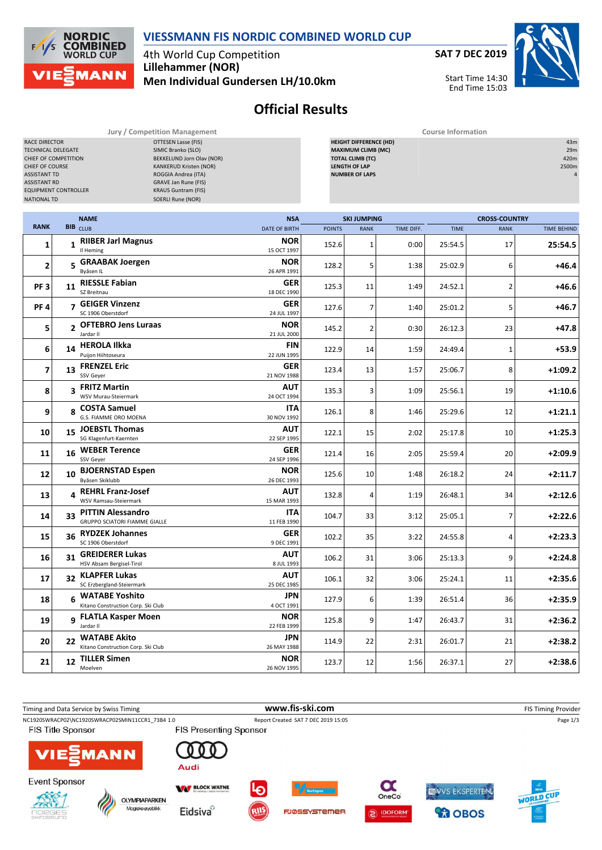

## **VIESSMANN FIS NORDIC COMBINED WORLD CUP**

4th World Cup Competition **Lillehammer (NOR) Men Individual Gundersen LH/10.0km** **SAT 7 DEC 2019**



**Official Results**

**Jury / Competition Management Course Information**

| <b>RACE DIRECTOR</b><br><b>OTTESEN Lasse (FIS)</b><br>SIMIC Branko (SLO)<br>TECHNICAL DELEGATE<br>BEKKELUND Jorn Olav (NOR)<br>CHIEF OF COMPETITION<br>KANKERUD Kristen (NOR)<br>CHIEF OF COURSE<br><b>ASSISTANT TD</b><br>ROGGIA Andrea (ITA)<br><b>ASSISTANT RD</b><br><b>GRAVE Jan Rune (FIS)</b><br><b>EQUIPMENT CONTROLLER</b><br><b>KRAUS Guntram (FIS)</b><br><b>NATIONAL TD</b><br><b>SOERLI Rune (NOR)</b> |                |                                                                  |  |                                    | 43m<br><b>HEIGHT DIFFERENCE (HD)</b><br><b>MAXIMUM CLIMB (MC)</b><br>29m<br><b>TOTAL CLIMB (TC)</b><br>420m<br><b>LENGTH OF LAP</b><br>2500m<br><b>NUMBER OF LAPS</b><br>$\Delta$ |                  |      |                                                                          |             |           |  |
|---------------------------------------------------------------------------------------------------------------------------------------------------------------------------------------------------------------------------------------------------------------------------------------------------------------------------------------------------------------------------------------------------------------------|----------------|------------------------------------------------------------------|--|------------------------------------|-----------------------------------------------------------------------------------------------------------------------------------------------------------------------------------|------------------|------|--------------------------------------------------------------------------|-------------|-----------|--|
| <b>RANK</b>                                                                                                                                                                                                                                                                                                                                                                                                         |                | <b>NAME</b><br><b>BIB</b> CLUB                                   |  | <b>NSA</b><br><b>DATE OF BIRTH</b> | <b>SKI JUMPING</b><br><b>POINTS</b><br>TIME DIFF.<br><b>RANK</b>                                                                                                                  |                  |      | <b>CROSS-COUNTRY</b><br><b>TIME</b><br><b>RANK</b><br><b>TIME BEHIND</b> |             |           |  |
| $\mathbf{1}$                                                                                                                                                                                                                                                                                                                                                                                                        |                | 1 RIIBER Jarl Magnus<br>Il Heming                                |  | <b>NOR</b><br>15 OCT 1997          | 152.6                                                                                                                                                                             | $\mathbf{1}$     | 0:00 | 25:54.5                                                                  | 17          | 25:54.5   |  |
| $\overline{\mathbf{2}}$                                                                                                                                                                                                                                                                                                                                                                                             |                | 5 GRAABAK Joergen                                                |  | <b>NOR</b><br>26 APR 1991          | 128.2                                                                                                                                                                             | 5                | 1:38 | 25:02.9                                                                  | 6           | +46.4     |  |
| PF <sub>3</sub>                                                                                                                                                                                                                                                                                                                                                                                                     |                | 11 RIESSLE Fabian<br>SZ Breitnau                                 |  | <b>GER</b><br>18 DEC 1990          | 125.3                                                                                                                                                                             | 11               | 1:49 | 24:52.1                                                                  | 2           | $+46.6$   |  |
| <b>PF4</b>                                                                                                                                                                                                                                                                                                                                                                                                          |                | 7 GEIGER Vinzenz<br>SC 1906 Oberstdorf                           |  | GER<br>24 JUL 1997                 | 127.6                                                                                                                                                                             | $\overline{7}$   | 1:40 | 25:01.2                                                                  | 5           | $+46.7$   |  |
| 5                                                                                                                                                                                                                                                                                                                                                                                                                   | $\overline{2}$ | <b>OFTEBRO Jens Luraas</b><br>Jardar II                          |  | <b>NOR</b><br>21 JUL 2000          | 145.2                                                                                                                                                                             | $\overline{2}$   | 0:30 | 26:12.3                                                                  | 23          | +47.8     |  |
| 6                                                                                                                                                                                                                                                                                                                                                                                                                   | 14             | <b>HEROLA Ilkka</b><br>Puijon Hiihtoseura                        |  | FIN<br>22 JUN 1995                 | 122.9                                                                                                                                                                             | 14               | 1:59 | 24:49.4                                                                  | $\mathbf 1$ | $+53.9$   |  |
| 7                                                                                                                                                                                                                                                                                                                                                                                                                   |                | 13 FRENZEL Eric<br>SSV Geyer                                     |  | GER<br>21 NOV 1988                 | 123.4                                                                                                                                                                             | 13               | 1:57 | 25:06.7                                                                  | 8           | $+1:09.2$ |  |
| 8                                                                                                                                                                                                                                                                                                                                                                                                                   |                | 3 FRITZ Martin<br>WSV Murau-Steiermark                           |  | AUT<br>24 OCT 1994                 | 135.3                                                                                                                                                                             | 3                | 1:09 | 25:56.1                                                                  | 19          | $+1:10.6$ |  |
| 9                                                                                                                                                                                                                                                                                                                                                                                                                   |                | 8 COSTA Samuel<br>G.S. FIAMME ORO MOENA                          |  | ITA<br>30 NOV 1992                 | 126.1                                                                                                                                                                             | 8                | 1:46 | 25:29.6                                                                  | 12          | $+1:21.1$ |  |
| 10                                                                                                                                                                                                                                                                                                                                                                                                                  |                | 15 JOEBSTL Thomas<br>SG Klagenfurt-Kaernten                      |  | AUT<br>22 SEP 1995                 | 122.1                                                                                                                                                                             | 15               | 2:02 | 25:17.8                                                                  | 10          | $+1:25.3$ |  |
| 11                                                                                                                                                                                                                                                                                                                                                                                                                  |                | 16 WEBER Terence<br>SSV Geyer                                    |  | GER<br>24 SEP 1996                 | 121.4                                                                                                                                                                             | 16               | 2:05 | 25:59.4                                                                  | 20          | $+2:09.9$ |  |
| 12                                                                                                                                                                                                                                                                                                                                                                                                                  | 10             | <b>BJOERNSTAD Espen</b><br>Byåsen Skiklubb                       |  | <b>NOR</b><br>26 DEC 1993          | 125.6                                                                                                                                                                             | 10               | 1:48 | 26:18.2                                                                  | 24          | $+2:11.7$ |  |
| 13                                                                                                                                                                                                                                                                                                                                                                                                                  |                | 4 REHRL Franz-Josef<br>WSV Ramsau-Steiermark                     |  | AUT<br>15 MAR 1993                 | 132.8                                                                                                                                                                             | 4                | 1:19 | 26:48.1                                                                  | 34          | $+2:12.6$ |  |
| 14                                                                                                                                                                                                                                                                                                                                                                                                                  | 33             | <b>PITTIN Alessandro</b><br><b>GRUPPO SCIATORI FIAMME GIALLE</b> |  | ITA<br>11 FEB 1990                 | 104.7                                                                                                                                                                             | 33               | 3:12 | 25:05.1                                                                  | 7           | $+2:22.6$ |  |
| 15                                                                                                                                                                                                                                                                                                                                                                                                                  | 36             | <b>RYDZEK Johannes</b><br>SC 1906 Oberstdorf                     |  | GER<br>9 DEC 1991                  | 102.2                                                                                                                                                                             | 35               | 3:22 | 24:55.8                                                                  | 4           | $+2:23.3$ |  |
| 16                                                                                                                                                                                                                                                                                                                                                                                                                  | 31             | <b>GREIDERER Lukas</b><br>HSV Absam Bergisel-Tirol               |  | AUT<br>8 JUL 1993                  | 106.2                                                                                                                                                                             | 31               | 3:06 | 25:13.3                                                                  | 9           | $+2:24.8$ |  |
| 17                                                                                                                                                                                                                                                                                                                                                                                                                  | 32             | <b>KLAPFER Lukas</b><br>SC Erzbergland-Steiermark                |  | AUT<br>25 DEC 1985                 | 106.1                                                                                                                                                                             | 32               | 3:06 | 25:24.1                                                                  | 11          | $+2:35.6$ |  |
| 18                                                                                                                                                                                                                                                                                                                                                                                                                  |                | 6 WATABE Yoshito<br>Kitano Construction Corp. Ski Club           |  | <b>JPN</b><br>4 OCT 1991           | 127.9                                                                                                                                                                             | $\boldsymbol{6}$ | 1:39 | 26:51.4                                                                  | 36          | $+2:35.9$ |  |
| 19                                                                                                                                                                                                                                                                                                                                                                                                                  |                | 9 FLATLA Kasper Moen<br>Jardar II                                |  | <b>NOR</b><br>22 FEB 1999          | 125.8                                                                                                                                                                             | 9                | 1:47 | 26:43.7                                                                  | 31          | $+2:36.2$ |  |
| 20                                                                                                                                                                                                                                                                                                                                                                                                                  |                | 22 WATABE Akito<br>Kitano Construction Corp. Ski Club            |  | JPN<br>26 MAY 1988                 | 114.9                                                                                                                                                                             | 22               | 2:31 | 26:01.7                                                                  | 21          | $+2:38.2$ |  |
| 21                                                                                                                                                                                                                                                                                                                                                                                                                  | 12             | <b>TILLER Simen</b><br>Moelven                                   |  | <b>NOR</b><br>26 NOV 1995          | 123.7                                                                                                                                                                             | 12               | 1:56 | 26:37.1                                                                  | 27          | $+2:38.6$ |  |

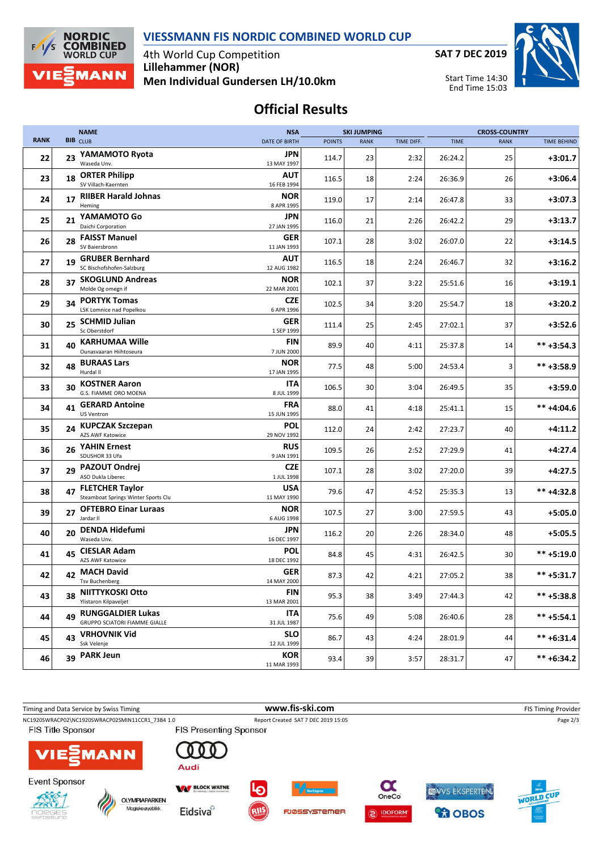



4th World Cup Competition **Lillehammer (NOR) Men Individual Gundersen LH/10.0km** **SAT 7 DEC 2019**



## **Official Results**

|             |    | <b>NAME</b>                                                   | <b>NSA</b>                | <b>SKI JUMPING</b> |             |            | <b>CROSS-COUNTRY</b> |             |                    |
|-------------|----|---------------------------------------------------------------|---------------------------|--------------------|-------------|------------|----------------------|-------------|--------------------|
| <b>RANK</b> |    | <b>BIB</b> CLUB                                               | <b>DATE OF BIRTH</b>      | <b>POINTS</b>      | <b>RANK</b> | TIME DIFF. | <b>TIME</b>          | <b>RANK</b> | <b>TIME BEHIND</b> |
| 22          | 23 | YAMAMOTO Ryota<br>Waseda Unv.                                 | JPN<br>13 MAY 1997        | 114.7              | 23          | 2:32       | 26:24.2              | 25          | $+3:01.7$          |
| 23          | 18 | <b>ORTER Philipp</b><br>SV Villach-Kaernten                   | <b>AUT</b><br>16 FEB 1994 | 116.5              | 18          | 2:24       | 26:36.9              | 26          | $+3:06.4$          |
| 24          |    | 17 RIIBER Harald Johnas<br>Heming                             | <b>NOR</b><br>8 APR 1995  | 119.0              | 17          | 2:14       | 26:47.8              | 33          | $+3:07.3$          |
| 25          | 21 | YAMAMOTO Go<br>Daichi Corporation                             | JPN<br>27 JAN 1995        | 116.0              | 21          | 2:26       | 26:42.2              | 29          | $+3:13.7$          |
| 26          | 28 | <b>FAISST Manuel</b><br>SV Baiersbronn                        | <b>GER</b><br>11 JAN 1993 | 107.1              | 28          | 3:02       | 26:07.0              | 22          | $+3:14.5$          |
| 27          | 19 | <b>GRUBER Bernhard</b><br>SC Bischofshofen-Salzburg           | AUT<br>12 AUG 1982        | 116.5              | 18          | 2:24       | 26:46.7              | 32          | $+3:16.2$          |
| 28          | 37 | <b>SKOGLUND Andreas</b><br>Molde Og omegn if                  | <b>NOR</b><br>22 MAR 2001 | 102.1              | 37          | 3:22       | 25:51.6              | 16          | $+3:19.1$          |
| 29          | 34 | <b>PORTYK Tomas</b><br>LSK Lomnice nad Popelkou               | <b>CZE</b><br>6 APR 1996  | 102.5              | 34          | 3:20       | 25:54.7              | 18          | $+3:20.2$          |
| 30          | 25 | <b>SCHMID Julian</b><br>Sc Oberstdorf                         | <b>GER</b><br>1 SEP 1999  | 111.4              | 25          | 2:45       | 27:02.1              | 37          | $+3:52.6$          |
| 31          | 40 | <b>KARHUMAA Wille</b><br>Ounasvaaran Hiihtoseura              | FIN<br>7 JUN 2000         | 89.9               | 40          | 4:11       | 25:37.8              | 14          | $*** +3:54.3$      |
| 32          | 48 | <b>BURAAS Lars</b><br>Hurdal II                               | <b>NOR</b><br>17 JAN 1995 | 77.5               | 48          | 5:00       | 24:53.4              | 3           | ** +3:58.9         |
| 33          | 30 | <b>KOSTNER Aaron</b><br>G.S. FIAMME ORO MOENA                 | ITA<br>8 JUL 1999         | 106.5              | 30          | 3:04       | 26:49.5              | 35          | $+3:59.0$          |
| 34          | 41 | <b>GERARD Antoine</b><br><b>US Ventron</b>                    | FRA<br>15 JUN 1995        | 88.0               | 41          | 4:18       | 25:41.1              | 15          | $*** +4:04.6$      |
| 35          |    | 24 KUPCZAK Szczepan<br>AZS AWF Katowice                       | POL<br>29 NOV 1992        | 112.0              | 24          | 2:42       | 27:23.7              | 40          | $+4:11.2$          |
| 36          | 26 | <b>YAHIN Ernest</b><br>SDUSHOR 33 Ufa                         | <b>RUS</b><br>9 JAN 1991  | 109.5              | 26          | 2:52       | 27:29.9              | 41          | $+4:27.4$          |
| 37          | 29 | <b>PAZOUT Ondrej</b><br>ASO Dukla Liberec                     | <b>CZE</b><br>1 JUL 1998  | 107.1              | 28          | 3:02       | 27:20.0              | 39          | $+4:27.5$          |
| 38          | 47 | <b>FLETCHER Taylor</b><br>Steamboat Springs Winter Sports Clu | <b>USA</b><br>11 MAY 1990 | 79.6               | 47          | 4:52       | 25:35.3              | 13          | ** +4:32.8         |
| 39          | 27 | <b>OFTEBRO Einar Luraas</b><br>Jardar II                      | <b>NOR</b><br>6 AUG 1998  | 107.5              | 27          | 3:00       | 27:59.5              | 43          | $+5:05.0$          |
| 40          | 20 | <b>DENDA Hidefumi</b><br>Waseda Unv.                          | JPN<br>16 DEC 1997        | 116.2              | 20          | 2:26       | 28:34.0              | 48          | $+5:05.5$          |
| 41          | 45 | <b>CIESLAR Adam</b><br><b>AZS AWF Katowice</b>                | POL<br>18 DEC 1992        | 84.8               | 45          | 4:31       | 26:42.5              | 30          | ** +5:19.0         |
| 42          |    | 42 MACH David<br>Tsv Buchenberg                               | <b>GER</b><br>14 MAY 2000 | 87.3               | 42          | 4:21       | 27:05.2              | 38          | $*** +5:31.7$      |
| 43          | 38 | NIITTYKOSKI Otto<br>Ylistaron Kilpaveljet                     | <b>FIN</b><br>13 MAR 2001 | 95.3               | 38          | 3:49       | 27:44.3              | 42          | ** +5:38.8         |
| 44          |    | 49 RUNGGALDIER Lukas<br>GRUPPO SCIATORI FIAMME GIALLE         | ITA<br>31 JUL 1987        | 75.6               | 49          | 5:08       | 26:40.6              | 28          | $*** + 5:54.1$     |
| 45          | 43 | <b>VRHOVNIK Vid</b><br>Ssk Velenje                            | <b>SLO</b><br>12 JUL 1999 | 86.7               | 43          | 4:24       | 28:01.9              | 44          | $*** + 6:31.4$     |
| 46          | 39 | <b>PARK Jeun</b>                                              | KOR<br>11 MAR 1993        | 93.4               | 39          | 3:57       | 28:31.7              | 47          | $*** + 6:34.2$     |